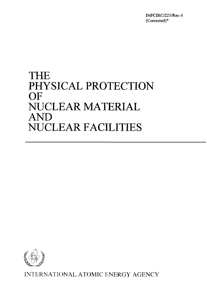INFCIRC/225/Rev.4 (Corrected)

# THE PHYSICAL PROTECTION OF NUCLEAR MATERIAL AND NUCLEAR FACILITIES



INTERNATIONAL ATOMIC ENERGY AGENCY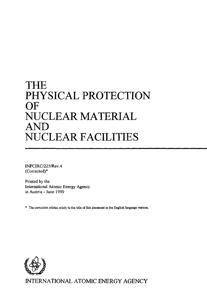# THE PHYSICAL PROTECTION OF NUCLEAR MATERIAL AND NUCLEAR FACILITIES

INFCIRC/225/Rev.4 (Corrected)\*

Printed by the International Atomic Energy Agency in Austria - June 1999

The correction relates solely to the title of this document in the English language version.

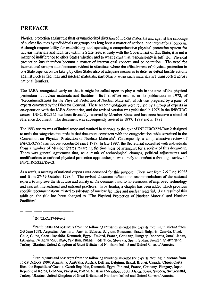### PREFACE

Physical protection against the theft or unauthorized diversion of nuclear materials and against the sabotage of nuclear facilities by individuals or groups has long been a matter of national and international concern. Although responsibility for establishing and operating a comprehensive physical protection system for nuclear materials and facilities within a State rests entirely with the Government of that State, it is not a matter of indifference to other States whether and to what extent that responsibility is fulfilled. Physical protection has therefore become a matter of international concern and co-operation. The need for international co-operation becomes evident in situations where the effectiveness of physical protection in one State depends on the taking by other States also of adequate measures to deter or defeat hostile actions against nuclear facilities and nuclear materials, particularly when such materials are transported across national frontiers.

The IAEA recognized early on that it might be called upon to play a role in the area of the physical protection of nuclear materials and facilities. Its first effort resulted in the publication, in 1972, of "Recommendations for the Physical Protection of Nuclear Material", which was prepared by a panel of experts convened by the Director General. These recommendations were revised by a group of experts in co-operation with the IAEA Secretariat, and the revised version was published in 1975 in the INFCIRC series. INFCIRC/225 has been favorably received by Member States and has since become a standard reference document. The document was subsequently revised in 1977, 1989 and in 1993.

The 1993 review was of limited scope and resulted in changes to the text of INFCIRC/225/Rev.2 designed to make the categorization table in that document consistent with the categorization table contained in the Convention on Physical Protection of Nuclear Materials'. Consequently, a comprehensive review of INFCIRC/225 has not been conducted since 1989. In late 1997, the Secretariat consulted with individuals from a number of Member States regarding the timeliness of arranging for a review of this document. There was general agreement that, as a result of technological changes, political adjustments and modifications to national physical protection approaches, it was timely to conduct a thorough review of INFCIRC/225/Rev.3.

As a result, a meeting of national experts was convened for this purpose. They met from 2-5 June 1998<sup>2</sup> and from 27-29 October 1998<sup>3</sup>. The revised document reflects the recommendations of the national experts to improve the structure and clarity of the document and to take account of improved technology and current international and national practices. In particular, a chapter has been added which provides specific recommendations related to sabotage of nuclear facilities and nuclear material. As a result of this addition, the title has been changed to "The Physical Protection of Nuclear Material and Nuclear Facilities".

#### 1 INFClRC/274/Rev.l

<sup>2</sup>Participants and observers from the following countries attended the experts meeting in Vienna from 2-5 June 1998: Argentina, Australia, Austria, Belarus, Belgium, Botswana, Brazil, Bulgaria, Canada, Chad, Chile, China, Czech Republic, Denmark, Egypt, Finland, France, Germany, Hungary, Indonesia, Israel, Japan, Lithuania, Netherlands, Oman, Pakistan, Russian Federation, Slovakia, Spain, Sudan, Sweden, Switzerland, Turkey, Ukraine, United Kingdom of Great Britain and Northern Ireland and United States of America.

<sup>3</sup>Participants and observers from the following countries attended the experts meeting in Vienna from 27-29 October 1998: Argentina, Australia, Austria, Belarus, Belgium, Brazil, Brunei, Canada, China, Costa Rica, the Republic of Croatia. Czech Republic, Denmark, Egypt, Finland, France, Germany, Hungary, Japan, Republic of Korea, Lebanon, Pakistan, Poland, Russian Federation, South Africa, Spain, Sweden, Switzerland, Turkey, Ukraine, United Kingdom of Great Britain and Northern Ireland and United States of America.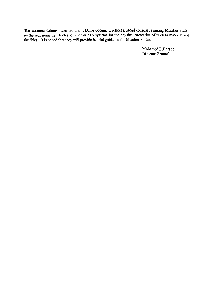The recommendations presented in this IAEA document reflect a broad consensus among Member States on the requirements which should be met by systems for the physical protection of nuclear material and facilities. It is hoped that they will provide helpful guidance for Member States.

> Mohamed ElBaradei Director General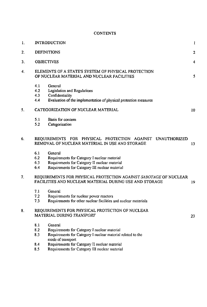### **CONTENTS**

| 1. | <b>INTRODUCTION</b>                                                                                                                                                                                                      |    |  |  |  |
|----|--------------------------------------------------------------------------------------------------------------------------------------------------------------------------------------------------------------------------|----|--|--|--|
| 2. | <b>DEFINITIONS</b>                                                                                                                                                                                                       |    |  |  |  |
| 3. | <b>OBJECTIVES</b>                                                                                                                                                                                                        |    |  |  |  |
| 4. | ELEMENTS OF A STATE'S SYSTEM OF PHYSICAL PROTECTION<br>OF NUCLEAR MATERIAL AND NUCLEAR FACILITIES<br>5                                                                                                                   |    |  |  |  |
|    | 4.1<br>General<br>4.2<br>Legislation and Regulations<br>4.3<br>Confidentiality<br>4.4<br>Evaluation of the implementation of physical protection measures                                                                |    |  |  |  |
| 5. | CATEGORIZATION OF NUCLEAR MATERIAL                                                                                                                                                                                       | 10 |  |  |  |
|    | 5.1<br>Basis for concern<br>5.2<br>Categorization                                                                                                                                                                        |    |  |  |  |
| 6. | REQUIREMENTS FOR PHYSICAL PROTECTION AGAINST<br><b>UNAUTHORIZED</b><br>REMOVAL OF NUCLEAR MATERIAL IN USE AND STORAGE                                                                                                    | 13 |  |  |  |
|    | 6.1<br>General<br>6.2<br>Requirements for Category I nuclear material<br>6.3<br>Requirements for Category II nuclear material<br>6.4<br>Requirements for Category III nuclear material                                   |    |  |  |  |
| 7. | REQUIREMENTS FOR PHYSICAL PROTECTION AGAINST SABOTAGE OF NUCLEAR<br>FACILITIES AND NUCLEAR MATERIAL DURING USE AND STORAGE                                                                                               | 19 |  |  |  |
|    | 7.1<br>General<br>7.2<br>Requirements for nuclear power reactors<br>7.3<br>Requirements for other nuclear facilities and nuclear materials                                                                               |    |  |  |  |
| 8. | REQUIREMENTS FOR PHYSICAL PROTECTION OF NUCLEAR<br>MATERIAL DURING TRANSPORT                                                                                                                                             | 23 |  |  |  |
|    | 8.1<br>General<br>8.2<br>Requirements for Category I nuclear material<br>8.3<br>Requirements for Category I nuclear material related to the<br>mode of transport<br>Requirements for Category II nuclear material<br>8.4 |    |  |  |  |
|    | Requirements for Category III nuclear material<br>8.5                                                                                                                                                                    |    |  |  |  |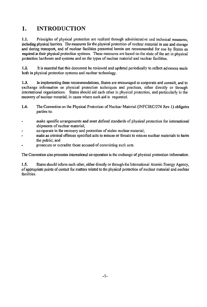### 1. INTRODUCTION

1.1. Principles of physical protection are realized through administrative and technical measures, including physical barriers. The measures for the physical protection of nuclear material in use and storage and during transport, and of nuclear facilities presented herein are recommended for use by States as required in their physical protection systems. These measures are based on the state of the art in physical protection hardware and systems and on the types of nuclear material and nuclear facilities.

1.2. It is essential that this document be reviewed and updated periodically to reflect advances made both in physical protection systems and nuclear technology.

1.3. In implementing these recommendations, *States* are encouraged to cooperate and consult, and to exchange information on physical protection techniques and practices, either directly or through international organizations. States should aid each other in physical protection, and particularly in the recovery of nuclear material, in cases where such aid is requested.

- 1.4. The Convention on the Physical Protection of Nuclear Material (INFCIRC/274 Rev. 1) obligates parties to:
- make specific arrangements and meet defined standards of physical protection for international shipments of nuclear material;
- co-operate in the recovery and protection of stolen nuclear material;
- make as criminal offences specified acts to misuse or threats to misuse nuclear materials to harm the public; and
- prosecute or extradite those accused of committing such acts.

The Convention also promotes international co-operation in the exchange of physical protection information.

1.5. States should inform each other, either directly or through the International Atomic Energy Agency, of appropriate points of contact for matters related to the physical protection of nuclear material and nuclear facilities.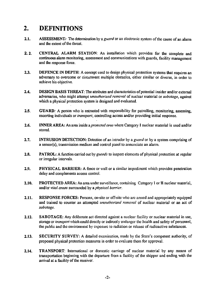## 2. DEFINITIONS

- 2.1. ASSESSMENT: The determination by a *guard* or an electronic system of the cause of an alarm and the extent of the threat.
- 2. 2. CENTRAL ALARM STATION: An installation which provides for the complete and continuous alarm monitoring, assessment and communications with guards, facility management and the response force.
- 2.3. **DEFENCE IN DEPTH:** A concept used to design physical protection systems that requires an adversary to overcome or circumvent multiple obstacles, either similar or diverse, in order to achieve his objective.
- 2.4. DESIGN BASIS THREAT: The attributes and characteristics of potential insider and/or external adversaries, who might attempt *unauthorized removal* of nuclear material or *sabotage,* against which a physical protection system is designed and evaluated.
- 2.5. GUARD: A person who is entrusted with responsibility for patrolling, monitoring, assessing, escorting individuals or *transport,* controlling access and/or providing initial response.
- 2.6. INNER AREA: An area inside a *protected area* where Category I nuclear material is used and/or stored.
- 2.7. INTRUSION DETECTION: Detection of an intruder by a *guard* or by a system comprising of a sensor(s), transmission medium and control panel to annunciate an alarm.
- 2.8. PATROL: A function carried out by *guards* to inspect elements of physical protection at regular or irregular intervals.
- 2.9. PHYSICAL BARRIER: A fence or wall or a similar impediment which provides penetration delay and complements access control.
- 2.10. PROTECTED AREA: An area under surveillance, containing Category I or II nuclear material, and/or *vital areas* surrounded by a *physical barrier.*
- 2.11. RESPONSE FORCES: Persons, on-site or off-site who arc armed and appropriately equipped and trained to counter an attempted *unauthorized removal* of nuclear material or an act of *sabotage.*
- 2.12. SABOTAGE: Any deliberate act directed against a nuclear facility or nuclear material in use, storage or *transport* which could directly or indirectly endanger the health and safety of personnel, the public and the environment by exposure to radiation or release of radioactive substances.
- 2.13. SECURITY SURVEY: A detailed examination, made by the State's competent authority, of proposed physical protection measures in order to evaluate them for approval.
- 2.14. TRANSPORT: International or domestic carriage of nuclear material by any means of transportation beginning with the departure from a facility of the shipper and ending with the arrival at a facility of the receiver.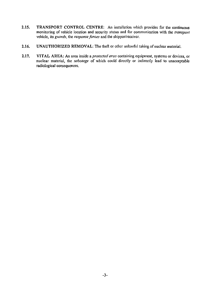- 2.15. TRANSPORT CONTROL CENTRE: An installation which provides for the continuous monitoring of vehicle location and security status and for communication with the *transport* vehicle, its *guards,* the *response forces* and **the** shipper/receiver.
- **2.16. UNAUTHORIZED REMOVAL:** The theft or other unlawful taking of nuclear material.
- **2.17. VITAL AREA:** An area inside *a protected area* containing equipment, systems or devices, or nuclear material, the *sabotage* of which could directly or indirectly lead to unacceptable radiological consequences.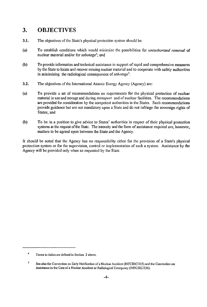### 3. OBJECTIVES

- 3.1. The objectives of the State's physical protection system should be:
- (a) To establish conditions which would minimize the possibilities for *unauthorized removal* of nuclear material and/or for *sabotage<sup>4</sup> ;* and
- (b) To provide information and technical assistance in support of rapid and comprehensive measures by the State to locate and recover missing nuclear material and to cooperate with safety authorities in minimizing the radiological consequences *of sabotage<sup>5</sup> .*
- 3.2. The objectives of the International Atomic Energy Agency (Agency) are:
- (a) To provide a set of recommendations on requirements for the physical protection of nuclear material in use and storage and during *transport* and of nuclear facilities. The recommendations are provided for consideration by the competent authorities in the States. Such recommendations provide guidance but are not mandatory upon a State and do not infringe the sovereign rights of States; and
- (b) To be in a position to give advice to States' authorities in respect of their physical protection systems at the request of the State. The intensity and the form of assistance required are, however, matters to be agreed upon between the State and the Agency.

It should be noted that the Agency has no responsibility either for the provision of a State's physical protection system or for the supervision, control or implementation of such a system. Assistance by the Agency will be provided only when so requested by the State.

 $\overline{4}$ Terms in italics are defined in Section 2 above.

 $\mathsf{s}$ See also the Convention on Early Notification of a Nuclear Accident (INFCIRC/335) and the Convention on Assistance in the Case of a Nuclear Accident or Radiological Emergency (INFCIRC/336).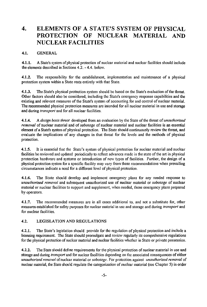### 4. ELEMENTS OF A STATE'S SYSTEM OF PHYSICAL PROTECTION OF NUCLEAR MATERIAL AND NUCLEAR FACILITIES

#### 4.1. GENERAL

**4.1.1.** A State's system of physical protection of nuclear material and nuclear facilities should include the elements described in Sections 4.2. - 4.4. below.

**4.1.2.** The responsibility for the establishment, implementation and maintenance of a physical protection system within a State rests entirely with that State.

**4.1.3.** The State's physical protection system should be based on the State's evaluation of the threat. Other factors should also be considered, including the State's emergency response capabilities and the existing and relevant measures of the State's system of accounting for and control of nuclear material. The recommended physical protection measures are intended for all nuclear material in use and storage and during *transport* and for all nuclear facilities.

**4.1.4.** A *design basis threat* developed from an evaluation by the State of the threat *of unauthorized removal* of nuclear material and of *sabotage* of nuclear material and nuclear facilities is an essential element of a State's system of physical protection. The State should continuously review the threat, and evaluate the implications of any changes in that threat for the levels and the methods of physical protection.

4.1.5. It is essential that the State's system of physical protection for nuclear material and nuclear facilities be reviewed and updated periodically to reflect advances made in the state of the art in physical protection hardware and systems or introduction of new types of facilities. Further, the design of a physical protection system for a specific facility may vary from these recommendations when prevailing circumstances indicate a need for a different level of physical protection.

**4.1.6.** The State should develop and implement emergency plans for any needed response to *unauthorized removal* and subsequent unauthorized use of nuclear material or *sabotage* of nuclear material or nuclear facilities to support and supplement, when needed, those emergency plans prepared by operators.

**4.1.7.** The recommended measures are in all cases additional to, and not a substitute for, other measures established for safety purposes for nuclear material in use and storage and during *transport* and for nuclear facilities.

#### 4.2. LEGISLATION AND REGULATIONS

4.2.1. The State's legislation should provide for the regulation of physical protection and include a licensing requirement. The State should promulgate and review regularly its comprehensive regulations for the physical protection of nuclear material and nuclear facilities whether in State or private possession.

**4.2.2.** The State should define requirements for the physical protection of nuclear material in use and storage and during *transport* and for nuclear facilities depending on the associated consequences of either *unauthorized removal* of nuclear material or *sabotage.* For protection against *unauthorized removal* of nuclear material, the State should regulate the categorization of nuclear material (see Chapter 5) in order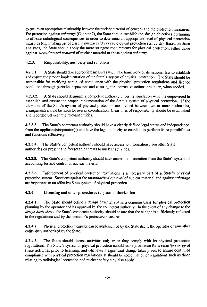to ensure an appropriate relationship between the nuclear material of concern and the protection measures. For protection against *sabotage* (Chapter 7), the State should establish the design objectives pertaining to off-site radiological consequences in order to determine an appropriate level of physical protection measures (e.g., making use of existing nuclear safety or radiological protection standards). Based on these analyses, the State should apply the more stringent requirements for physical protection, either those against *unauthorized removal* of nuclear material or those against *sabotage.*

#### 4.2.3. Responsibility, authority and sanctions

**4.2.3.1.** A State should take appropriate measures within the framework of its national law to establish and ensure the proper implementation of the State's system of physical protection. The State should be responsible for verifying continued compliance with the physical protection regulations and licence conditions through periodic inspections and ensuring that corrective actions are taken, when needed.

**4.2.3.2.** A State should designate a competent authority under its legislation which is empowered to establish and ensure the proper implementation of the State's system of physical protection. If the elements of the State's system of physical protection are divided between two or more authorities, arrangements should be made for overall co-ordination. Clear lines of responsibility should be established and recorded between the relevant entities.

**4.2.3.3.** The State's competent authority should have a clearly defined legal status and independence from the applicant(s)/operator(s) and have the legal authority to enable it to perform its responsibilities and functions effectively.

**4.2.3.4.** The State's competent authority should have access to information from other State authorities on present and foreseeable threats to nuclear activities.

4.2.3.5. The State's competent authority should have access to information from the State's system of accounting for and control of nuclear material.

4.2.3.6. Enforcement of physical protection regulations is a necessary part of a State's physical protection system. Sanctions against the *unauthorized removal* of nuclear material and against *sabotage* are important to an effective State system of physical protection.

#### 4.2.4. Licensing and other procedures to grant authorization

**4.2.4.1.** The State should define a *design basis threat* as a common basis for physical protection planning by the operator and its approval by the competent authority. In the event of any change to the *design basis threat,* the State's competent authority should ensure that the change is sufficiently reflected in the regulations and by the operator's protective measures.

**4.2.4.2.** Physical protection measures can be implemented by the State itself, the operator or any other entity duly authorized by the State.

**4.2.4.3.** The State should license activities only when they comply with its physical protection regulations. The State's system of physical protection should make provisions for a *security survey* of these activities prior to licensing, and whenever a significant change takes place, to ensure continued compliance with physical protection regulations. It should be noted that other regulations such as those relating to radiological protection and nuclear safety may also apply.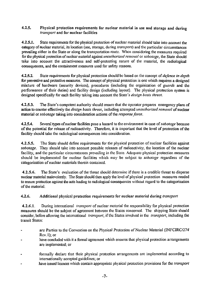#### 4.2.5. Physical protection requirements for nuclear material in use and storage and during *transport* and for nuclear facilities

4.2.5.1. State requirements for the physical protection of nuclear material should take into *account* the category of nuclear material, its location (use, storage, during *transport)* and the particular circumstances prevailing either in the State or along the transportation route. When considering the measures required for the physical protection of nuclear material against *unauthorized removal* or *sabotage,* the State should take into account the attractiveness and self-protecting nature of the material, the radiological consequences, and the containment measures used for safety reasons.

**4.2.5.2.** State requirements for physical protection should be based on the concept *of defence in depth* for preventive and protective measures. The concept of physical protection is one which requires a designed mixture of hardware (security devices), procedures (including the organization of *guards* and the performance of their duties) and facility design (including layout). The physical protection system is designed specifically for each facility taking into account the State's *design basis threat.*

**4.2.5.3.** The State's competent authority should ensure that the operator prepares emergency plans of action to counter effectively the *design basis threat,* including attempted *unauthorized removal* of nuclear material or *sabotage* taking into consideration actions of the *response force.*

**4.2.5.4.** Several types of nuclear facilities pose a hazard to the environment in case of *sabotage* because of the potential for release of radioactivity. Therefore, it is important that the level of protection of the facility should take the radiological consequences into consideration.

**4.2.5.5.** The State should define requirements for the physical protection of nuclear facilities against sabotage. They should take into account possible releases of radioactivity, the location of the nuclear facility, and the particular circumstances prevailing in the State. Adequate physical protection measures should be implemented for nuclear facilities which may be subject to *sabotage* regardless of the categorization of nuclear materials therein contained.

**4.2.5.6.** The State's evaluation of the threat should determine if there is a credible threat to disperse nuclear material malevolently. The State should then apply the level of physical protection measures needed to ensure protection against the acts leading to radiological consequences without regard to the categorisation of the material.

#### 4.2.6. Additional physical protection requirements for nuclear material during *transport*

**4.2.6.1.** During international *transport* of nuclear material the responsibility for physical protection measures should be the subject of agreement between the States concerned. The shipping State should consider, before allowing the international *transport,* if the States involved in the *transport,* including the transit States:

- are Parties to the Convention on the Physical Protection of Nuclear Material (INFCIRC/274' Rev. 1); or
- have concluded with it a formal agreement which ensures that physical protection arrangements are implemented; or
- formally declare that their physical protection arrangements arc implemented according to internationally accepted guidelines; or
- have issued licences which contain appropriate physical protection provisions for the *transport*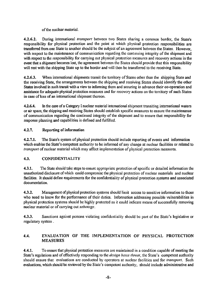of the nuclear material.

**4.2.6.2.** During international *transport* between two States sharing a common border, the State's responsibility for physical protection and the point at which physical protection responsibilities are transferred from one State to another should be the subject of an agreement between the States. However, with respect to the maintenance of communication regarding the continuing integrity of the shipment and with respect to the responsibility for carrying out physical protection measures and recovery actions in the event that a shipment becomes lost, the agreement between the States should provide that this responsibility will rest with the shipping State up to the border and will then be transferred to the receiving State.

**4.2.6.3.** When international shipments transit the territory of States other than the shipping State and the receiving State, the arrangements between the shipping and receiving States should identify the other States involved in such transit with a view to informing them and securing in advance their co-operation and assistance for adequate physical protection measures and for recovery actions on the territory of such States in case of loss of an international shipment thereon.

**4.2.6.4.** In the case of a Category I nuclear material international shipment transiting international waters or air space, the shipping and receiving States should establish specific measures to ensure the maintenance of communication regarding the continued integrity of the shipment and to ensure that responsibility for response planning and capabilities is defined and fulfilled.

#### 4.2.7. Reporting of information

**4.2.7.1.** The State's system of physical protection should include reporting of events and information which enables the State's competent authority to be informed of any change at nuclear facilities or related to *transport* of nuclear material which may affect implementation of physical protection measures.

#### 4.3. CONFIDENTIALITY

4.3.1. The State should take steps to ensure appropriate protection of specific or detailed information the unauthorized disclosure of which could compromise the physical protection of nuclear materials and nuclear facilities. It should define requirements for the confidentiality of physical protection systems and associated documentation.

**4.3.2.** Management of physical protection systems should limit access to sensitive information to those who need to know for the performance of their duties. Information addressing possible vulnerabilities in physical protection systems should be highly protected as it could indicate means of successfully removing nuclear material or of carrying out *sabotage.*

**4.3.3.** Sanctions against persons violating confidentiality should be part of the State's legislative or regulatory system .

#### 4.4. EVALUATION OF THE IMPLEMENTATION OF PHYSICAL PROTECTION MEASURES

4.4.1. To ensure that physical protection measures are maintained in a condition capable of meeting the State's regulations and of effectively responding to the *design basis threat,* the State's competent authority should ensure that evaluations are conducted by operators at nuclear facilities and for *transport.* Such evaluations, which should be reviewed by the State's competent authority, should include administrative and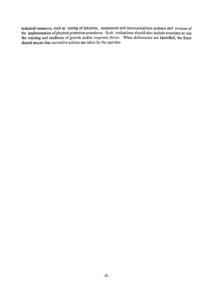technical measures, such as testing of detection, assessment and communications systems and reviews of the implementation of physical protection procedures. Such evaluations should also include exercises to test the training and readiness of *guards* and/or *response forces.* When deficiencies are identified, the State should ensure that corrective actions are taken by the operator.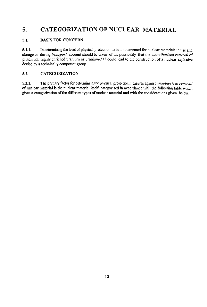### 5. CATEGORIZATION OF NUCLEAR MATERIAL

#### 5.1. BASIS FOR CONCERN

5.1.1. In determining the level of physical protection to be implemented for nuclear materials in use and storage or during *transport* account should be taken of the possibility that the *unauthorized removal* of plutonium, highly enriched uranium or uranium-233 could lead to the construction of a nuclear explosive device by a technically competent group.

#### 5.2. CATEGORIZATION

5.2.1. The primary factor for determining the physical protection measures against *unauthorized removal* of nuclear material is the nuclear material itself, categorized in accordance with the following table which gives a categorization of the different types of nuclear material and with the considerations given below.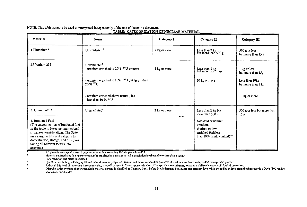| Material                                                                                                                                                                                                                                                                      | Form                                                                                                                                                                                                                                         | Category I   | Category II                                                                                                                      | Category III <sup>c</sup>                                                                  |
|-------------------------------------------------------------------------------------------------------------------------------------------------------------------------------------------------------------------------------------------------------------------------------|----------------------------------------------------------------------------------------------------------------------------------------------------------------------------------------------------------------------------------------------|--------------|----------------------------------------------------------------------------------------------------------------------------------|--------------------------------------------------------------------------------------------|
| 1.Plutonium <sup>*</sup>                                                                                                                                                                                                                                                      | Unirradiated <sup>b</sup>                                                                                                                                                                                                                    | 2 kg or more | Less than 2 kg<br>but more than 500 g                                                                                            | 500 g or less<br>but more than $15g$                                                       |
| 2. Uranium-235                                                                                                                                                                                                                                                                | Unirradiated <sup>b</sup><br>- uranium enriched to 20% $^{23}$ U or more<br>- uranium enriched to $10\%$ <sup>235</sup> U but less than<br>$20\,\%$ $^{235}$ U<br>- uranium enriched above natural, but<br>less than $10\%$ <sup>235</sup> U | 5 kg or more | Less than 5 kg<br>but more than 1 kg<br>10 kg or more                                                                            | 1 kg or less<br>but more than 15g<br>Less than 10kg<br>but more than 1 kg<br>10 kg or more |
| 3. Uranium-233                                                                                                                                                                                                                                                                | Unirradiated <sup>b</sup>                                                                                                                                                                                                                    | 2 kg or more | Less than 2 kg but<br>more than $500 \text{ g}$                                                                                  | 500 g or less but more than                                                                |
| 4. Irradiated Fuel<br>(The categorization of irradiated fuel<br>in the table is based on international<br>transport considerations. The State<br>may assign a different category for<br>domestic use, storage, and transport<br>taking all relevant factors into<br>account.) |                                                                                                                                                                                                                                              |              | Depleted or natural<br>uranium,<br>thorium or low-<br>enriched fuel(less<br>than 10% fissile content) <sup><math>w</math>e</sup> | 15g                                                                                        |

NOTE: This table is not to be used or interpreted independently of **the text of the entire document. TABLE: CATEGORIZATION OF NUCLEAR MATERIAL**

All plutonium except that with isotopic concentration exceeding 80 % in plutonium-238.

 $\overline{b}$ Material not irradiated in a reactor or material irradiated in a reactor but with a radiation level equal to or less (han *I* Gv/hr (100 rad/hr) at one meter unshielded.

Quantities not falling in Category III and natural uranium, depleted uranium and thorium should be protected at least in accordance with prudent management practice, -c

 $\pmb{\epsilon}$ Although this level of protection is recommended, it would be open to Stales, upon evaluation of the specific circumstances, to assign a different category of physical protection.

 $\bullet$ Other file] which by virtue of its original fissile material content is classified as Category I or II before irradiation may be reduced one category level while the radiation level from the fuel exceeds 1 Gy/hr( 100 rad/hr) at one meter unshielded.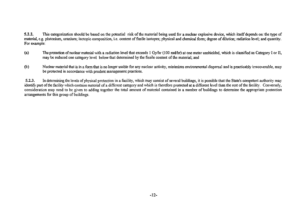5.2.2. This categorization should be based on the potential risk of the material being used for a nuclear explosive device, which itself depends on: the type of material, e.g. plutonium, uranium; isotopic composition, i.e. content of fissile isotopes; physical and chemical form; degree of dilution; radiation level; and quantity. For example:

- (a) The protection of nuclear material with a radiation level that exceeds 1 Gy/hr (100 rad/hr) at one meter unshielded, which is classified as Category I or II, may be reduced one category level below that determined by the fissile content of the material; and
- (b) Nuclear material that is in a form that is no longer usable for any nuclear activity, minimizes environmental dispersal and is practicably irrecoverable, may be protected in accordance with prudent management practices.

5.2.3. In determining the levels of physical protection in a facility, which may consist of several buildings, it is possible that the State's competent authority may identify part of the facility which contains material of a different category and which is therefore protected at a different level than the rest of the facility. Conversely, consideration may need to be given to adding together the total amount of material contained in a number of buildings to determine the appropriate protection arrangements for this group of buildings.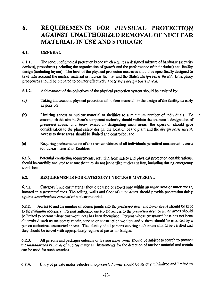### 6. REQUIREMENTS FOR PHYSICAL PROTECTION AGAINST UNAUTHORIZED REMOVAL OF NUCLEAR MATERIAL IN USE AND STORAGE

#### 6.1. GENERAL

6.1.1. The concept of physical protection is one which requires a designed mixture of hardware (security devices), procedures (including the organization *of guards* and the performance of their duties) and facility design (including layout). The level of the physical protection measures should be specifically designed to take into account the nuclear material or nuclear facility and the State's *design basis threat.* Emergency procedures should be prepared to counter effectively the State's *design basis threat.*

- 6.1.2. Achievement of the objectives of the physical protection system should be assisted by:
- (a) Taking into account physical protection of nuclear material in the design of the facility as early as possible;
- (b) Limiting access to nuclear material or facilities to a minimum number of individuals. To accomplish this aim the State's competent authority should validate the operator's designation of *protected areas,* and *inner areas.* In designating such areas, the operator should give consideration to the plant safety design, the location of the plant and the *design basis threat.* Access to these areas should be limited and controlled: and
- (c) Requiring predetermination of the trustworthiness of all individuals permitted unescorted access to nuclear material *or* facilities.

6.1.3. Potential conflicting requirements, resulting from safety and physical protection considerations, should be carefully analyzed to ensure that they do not jeopardize nuclear safety, including during emergency conditions.

#### 6.2. REQUIREMENTS FOR CATEGORY [ NUCLEAR MATERIAL

6.2.1. Category I nuclear material should be used or stored only within an *inner area* or *inner areas,* located in a *protected area.* The ceiling, walls and floor of *inner areas* should provide penetration delay against *unauthorized removal* of nuclear material.

6.2.2. Access to and the number of access points into the *protected area* and *inner areas* should be kept to the minimum necessary. Persons authorized unescorted access to the *protected area* or *inner areas* should be limited to persons whose trustworthiness has been determined. Persons whose trustworthiness has not been determined such as temporary repair, service or construction workers and visitors should be escorted by a person authorized unescorted access. The identity of all persons entering such areas should be verified and they should be issued with appropriately registered passes or badges.

6.2.3. All persons and packages entering or leaving *inner areas* should be subject to search to prevent the *unauthorized removal* of nuclear material. Instruments for the detection of nuclear material and metals can be used for such searches.

6.2.4. Entry of private motor vehicles into *protected areas* should be strictly minimized and limited to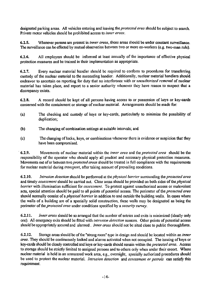designated parking areas. All vehicles entering and leaving the *protected area* should be subject to search. Private motor vehicles should be prohibited access to *inner areas.*

6.2.5. Whenever persons are present in *inner areas,* those areas should be under constant surveillance. The surveillance can be effected by mutual observation between two or more co-workers (e.g. two-man rule).

6.2.6. All employees should be informed at least annually of the importance of effective physical protection measures and be trained in their implementation as appropriate.

6.2.7. Every nuclear material handler should be required to conform to procedures for transferring custody of the nuclear material to the succeeding handler. Additionally, nuclear material handlers should endeavor to ascertain on reporting for duty that no interference with or *unauthorized removal* of nuclear material has taken place, and report to a senior authority whenever they have reason to suspect that a discrepancy exists.

6.2.8. A record should be kept of all persons having access to or possession of keys or key-cards concerned with the containment or storage of nuclear material. Arrangements should be made for:

- (a) The checking and custody of keys or key-cards, particularly to minimize the possibility of duplication;
- (b) The changing of combination settings at suitable intervals; and
- (c) The changing of locks, keys, or combinations whenever there is evidence or suspicion that they have been compromised.

6.2.9. Movements of nuclear material within the *inner area* and the *protected area* should be the responsibility of the operator who should apply all prudent and necessary physical protection measures. Movements out of or between two *protected areas* should be treated in full compliance with the requirements for nuclear material during *transport,* after taking account of prevailing conditions.

6.2.10. *Intrusion detection* should be performed at the *physical barrier* surrounding the *protected area* and timely *assessment* should be carried out. Clear areas should be provided on both sides *of the physical barrier* with illumination sufficient for *assessment.* To protect against unauthorized access or malevolent acts, special attention should be paid to all points of potential access. The perimeter *of the protected area* should normally consist *of & physical barrier* in addition to and outside the building walls. In cases where the walls of a building are of a specially solid construction, these walls may be designated as being the perimeter *of the protected area* under conditions specified by a *security survey.*

6.2.11. *Inner areas* should be so arranged that the number of entries and exits is minimized (ideally only one). All emergency exits should be fitted with *intrusion detection* sensors. Other points of potential access should be appropriately secured and alarmed . *Inner areas* should not be sited close to public thoroughfares.

6.2.12. Storage areas should be of the "strong room" type in design and should be located within an *inner area.* They should be continuously locked and alarms activated when not occupied. The issuing of keys or key-cards should be closely controlled and keys or key-cards should remain within the *protected area.* Access to storage should be strictly limited to assigned persons and to others only when under their escort. Where nuclear material is held in an unmanned work area, e.g., overnight, specially authorized procedures should be used to protect the nuclear material. *Intrusion detection* and *assessment or patrols* can satisfy this requirement.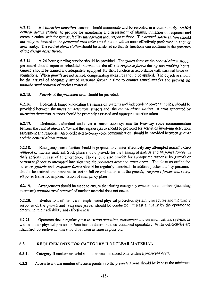6.2.13. All *intrusion detection* sensors should annunciate and be recorded in a continuously staffed *central alarm station* to provide for monitoring and assessment of alarms, initiation of response and communication with the *guards,* facility management and, *response force.* The *central alarm station* should normally be located in *the protected area* unless its function will be more effectively performed in another area nearby. The *central alarm station* should be hardened so that its functions can continue in the presence of the *design basis threat.*

6.2.14. A 24-hour guarding service should be provided. The *guard* force or the *central alarm station* personnel should report at scheduled intervals to the off-site *response forces* during non-working hours. *Guards* should be trained and adequately equipped for their function in accordance with national laws and regulations. When *guards* are not armed, compensating measures should be applied. The objective should be the arrival of adequately armed *response forces* in time to counter armed attacks and prevent the *unauthorized removal* of nuclear material.

6.2.15. *Patrols of the protected area* should be provided.

6.2.16. Dedicated, tamper-indicating transmission systems and independent power supplies, should be provided between the *intrusion detection* sensors and the *central alarm station.* Alarms generated by *intrusion detection* sensors should be promptly assessed and appropriate action taken.

6.2.17. Dedicated, redundant and diverse transmission systems for two-way voice communication between the *central alarm station* and the *response force* should be provided for activities involving detection, assessment and response. Also, dedicated two-way voice communication should be provided between *guards* and the *central alarm station.*

6.2.18. Emergency plans of action should be prepared to counter effectively any attempted *unauthorized removal* of nuclear material. Such plans should provide for the training of *guards* and *response forces* in their actions in case of an emergency. They should also provide for appropriate response by *guards* or *response forces* to attempted intrusion into the *protected area* and *inner areas.* The close co-ordination between *guards* and *response forces* should be regularly exercised. In addition, other facility personnel should be trained and prepared to act in full co-ordination with the *guards, response forces* and safety response teams for implementation of emergency plans.

6.2.19. Arrangements should be made to ensure that during emergency evacuation conditions (including exercises) *unauthorized removal* of nuclear material does not occur.

6.2.20. Evaluations of the overall implemented physical protection system, procedures and the timely response of the *guards* and *response forces* should be conducted at least annually by the operator to determine their reliability and effectiveness.

6.2.21. Operators should regularly test *intrusion detection, assessment* and communications systems as well as other physical protection functions to determine their continued operability. When deficiencies are identified, corrective actions should be taken as soon as possible.

#### 6.3. REQUIREMENTS FOR CATEGORY II NUCLEAR MATERIAL

6.3.1. Category II nuclear material should be used or stored only within a *protected area.*

6.3.2 Access to and the number of access points into the *protected area* should be kept to the minimum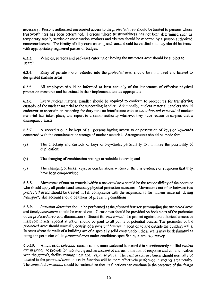necessary. Persons authorized unescorted access to the *protected area* should be limited to persons whose trustworthiness has been determined. Persons whose trustworthiness has not been determined such as temporary repair, service or construction workers and visitors should be escorted by a person authorized unescorted access. The identity of all persons entering such areas should be verified and they should be issued with appropriately registered passes or badges.

6.3.3. Vehicles, persons and packages entering or leaving the *protected area* should be subject to search.

6.3.4. Entry of private motor vehicles into the *protected area* should be minimized and limited to designated parking areas.

6.3.5. All employees should be informed at least annually of the importance of effective physical protection measures and be trained in their implementation, as appropriate.

6.3.6. Every nuclear material handler should be required to conform to procedures for transferring custody of the nuclear material to the succeeding handler. Additionally, nuclear material handlers should endeavor to ascertain on reporting for duty that no interference with or *unauthorized removal* of nuclear material has taken place, and report to a senior authority whenever they have reason to suspect that a discrepancy exists.

6.3.7. A record should be kept of all persons having access to or possession of keys or key-cards concerned with the containment or storage of nuclear material. Arrangements should be made for:

- (a) The checking and custody of keys or key-cards, particularly to minimize the possibility of duplication;
- (b) The changing of combination settings at suitable intervals; and
- (c) The changing of locks, keys, or combinations whenever there is evidence or suspicion that they have been compromised.

6.3.8. Movements of nuclear material within *& protected area* should be the responsibility of the operator who should apply all prudent and necessary physical protection measures. Movements out of or between two *protected areas* should be treated in full compliance with the requirements for nuclear material during *transport,* due account should be taken of prevailing conditions.

6.3.9. *Intrusion detection* should be performed at the *physical barrier* surrounding the *protected area* and timely *assessment* should be carried out. Clear areas should be provided on both sides of the perimeter of the *protectedarea* with illumination sufficient for *assessment.* To protect against unauthorized access or malevolent acts, special attention should be paid to all points of potential access. The perimeter of the *protected area* should normally consist of a *physical barrier* in addition to and outside the building walls. In cases where the walls of a building are of a specially solid construction, these walls may be designated as being the perimeter *o{ the protected area* under conditions specified by a *security survey.*

6.3.10. All *intrusion detection* sensors should annunciate and be recorded in a continuously staffed *central alarm station* to provide for monitoring and *assessment* of alarms, initiation of response and communication with the *guards,* facility management and, *response force.* The *central alarm station* should normally be located in the *protected area* unless its function will be more effectively performed in another area nearby. The *central alarm station* should be hardened so that its functions can continue in the presence of the *design*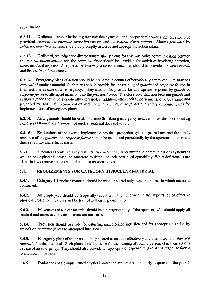*basis threat.*

6.3.11. Dedicated, tamper indicating transmission systems, and independent power supplies, should be provided between the *intrusion detection* sensors and the *central alarm station.* Alarms generated by *intrusion detection* sensors should be promptly assessed and appropriate action taken.

6.3.12. Dedicated, redundant and diverse transmission systems for two-way voice communication between the *central alarm station* and the *response force* should be provided for activities involving detection, *assessment* and response. Also, dedicated two-way voice communication should be provided between *guards* and the *central alarm station.*

6.3.13. Emergency plans of action should be prepared to counter effectively any attempted *unauthorized removal* of nuclear material. Such plans should provide for the training *of guards* and *response forces* in their actions in case of an emergency. They should also provide for appropriate response by *guards* or *response forces* to attempted intrusion into the *protected area.* The close co-ordination between *guards* and *response force* should be periodically exercised. In addition, other facility personnel should be trained and prepared to act in full co-ordination with the *guards, response forces* and safety response teams for implementation of emergency plans.

6.3.14. Arrangements should be made to ensure that during emergency evacuation conditions (including exercises) *unauthorized removal* of nuclear material does not occur.

6.3.15. Evaluations of the overall implemented physical protection system, procedures and the timely response of *the guards* and *response forces* should be conducted periodically by the operator to determine their reliability and effectiveness.

6.3.16. Operators should regularly test *intrusion detection, assessment* and communications systems as well as other physical protection functions to determine their continued operability. When deficiencies are identified, corrective actions should be taken as soon as possible.

#### 6.4. REQUIREMENTS FOR CATEGORY III NUCLEAR MATERIAL

6.4.1. Category III nuclear material should be used or stored only within an area to which access is controlled.

6.4.2. All employees should be frequently (about annually) informed of the importance of effective physical protection measures and be trained in their implementation.

6.4.3. Movements of nuclear material should be the responsibility of the operator, who should apply all prudent and necessary physical protection measures.

6.4.4. Provision should be made for detecting unauthorized intrusion and for appropriate action by *guards* or *response forces* to attempted intrusions.

6.4.5. Emergency plans of action should be prepared to counter effectively any attempted *unauthorized removal* ofnuclear material. Such plans should provide for the training of facility personnel in their actions in case of an emergency. They should also provide for appropriate response by *guards* or *response forces* to attempted intrusion.

6.4.6. Evaluations of the implemented physical protection system and the timely response of the *guards*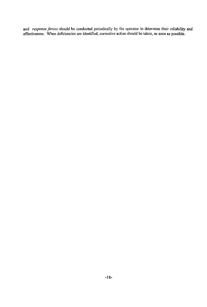and *response forces* should be conducted periodically by the operator to determine their reliability and effectiveness. When deficiencies are identified, corrective action should be taken, as soon as possible.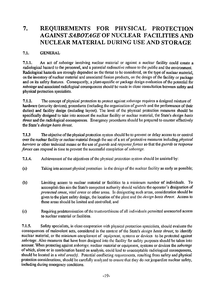### 7. REQUIREMENTS FOR PHYSICAL PROTECTION AGAINST *SABOTAGE* OF NUCLEAR FACILITIES AND NUCLEAR MATERIAL DURING USE AND STORAGE

#### 7.1. GENERAL

7.1.1. An act of *sabotage* involving nuclear material or against a nuclear facility could create a radiological hazard to the personnel, and a potential radioactive release to the public and the environment. Radiological hazards are strongly dependent on the threat to be considered, on the type of nuclear material, on the inventory of nuclear material and associated fission products, on the design of the facility or package and on its safety features. Consequently, a plant-specific or package design evaluation of the potential for *sabotage* and associated radiological consequences should be made in close consultation between safety and physical protection specialists.

7.1.2. The concept of physical protection to protect against *sabotage* requires a designed mixture of hardware (security devices), procedures (including the organization *of guards* and the performance of their duties) and facility design (including layout). The level of the physical protection measures should be specifically designed to take into account the nuclear facility or nuclear material, the State's *design basis threat* and the radiological consequences. Emergency procedures should be prepared to counter effectively the State's *design basis threat.*

7.1.3 The objective of the physical protection system should be to prevent or delay access to or control over the nuclear facility or nuclear material through the use of a set of protective measures including *physical barriers* or other technical means or the use *of guards* and *response forces* so that the *guards* or *response forces* can respond in time to prevent the successful completion *of sabotage.*

- 7.1.4. Achievement of the objectives of the physical protection system should be assisted by:
- (a) Taking into account physical protection in the design of the nuclear facility as early as possible;
- (b) Limiting access to nuclear material or facilities to a minimum number of individuals. To accomplish this aim the State's competent authority should validate the operator's designation of *protected areas, vital areas* or other areas. In designating such areas, consideration should be given to the plant safety design, the location of the plant and the *design basis threat.* Access to these areas should be limited and controlled; and
- (c) Requiring predetermination of the trustworthiness of all individuals permitted unescorted access to nuclear material or facilities.

7.1.5. Safety specialists, in close cooperation with physical protection specialists, should evaluate the consequences of malevolent acts, considered in the context of the State's *design basis threat,* to identify nuclear material, or the minimum complement of equipment, systems or devices to be protected against *sabotage.* Also measures that have been designed into the facility for safety purposes should be taken into account. When protecting against *sabotage,* nuclear material or equipment, systems *OT* devices the *sabotage* of which, alone or in combination based on analysis, could lead *to* unacceptable radiological consequences, should be located in a *vital areafs).* Potential conflicting requirements, resulting from safety and physical protection considerations, should be carefully analyzed to ensure that they do not jeopardize nuclear safety, including during emergency conditions.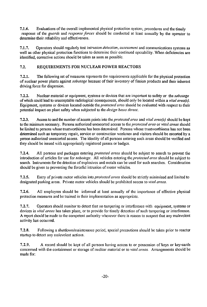7.1.6. Evaluations of the overall implemented physical protection system, procedures and the timely response of the *guards* and *response forces* should be conducted at least annually by the operator to determine their reliability and effectiveness.

7.1.7. Operators should regularly test *intrusion detection, assessment* and communications systems as well as other physical protection functions to determine their continued operability. When deficiencies are identified, corrective actions should be taken as soon as possible.

#### 7.2. REQUIREMENTS FOR NUCLEAR POWER REACTORS

7.2.1. The following set of measures represents the requirements applicable for the physical protection of nuclear power plants against *sabotage* because of their inventory of fission products and their inherent driving force for dispersion.

7.2.2. Nuclear material or equipment, systems or devices that are important to safety or the *sabotage* of which could lead to unacceptable radiological consequences, should only be located within a *vital area(s).* Equipment, systems or devices located outside the *protected area* should be evaluated with respect to their potential impact on plant safety when subjected to the *design basis threat.*

7.2.3. Access to and the number of access points into the *protected area* and *vital area(s)* should be kept to the minimum necessary. Persons authorized unescorted access to the *protected area* or *vital areas* should be limited to persons whose trustworthiness has been determined. Persons whose trustworthiness has not been determined such as temporary repair, service or construction workmen and visitors should be escorted by a person authorized unescorted access. The identity of all persons entering such areas should be verified and they should be issued with appropriately registered passes or badges.

7.2.4. All persons and packages entering *protected areas* should be subject to search to prevent the introduction of articles for use for *sabotage.* All vehicles entering *the protected area* should be subject to search. Instruments for the detection of explosives and metals can be used for such searches. Consideration should be given to preventing the forceful intrusion of motor vehicles.

7.2.5. Entry of private motor vehicles into *protected areas* should be strictly minimized and limited to designated parking areas. Private motor vehicles should be prohibited access to *vital areas.*

7.2.6. All employees should be informed at least annually of the importance of effective physical protection measures and be trained in their implementation as appropriate.

7.2.7. Operators should monitor to detect that no tampering or interference with equipment, systems or devices in *vital areas* has taken place, or to provide for timely detection of such tampering or interference. A report should be made to the competent authority whenever there is reason to suspect that any malevolent activity has occurred.

7.2.8. Following a shutdown/maintenance period, special precautions should be taken prior to reactor startup to detect any malevolent actions.

7.2.9. A record should be kept of all persons having access to or possession of keys or key-cards concerned with the containment or storage of nuclear material or to *vital areas.* Arrangements should be made for: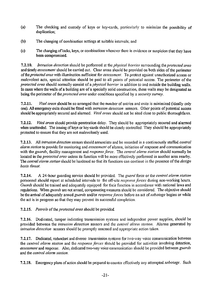- (a) The checking and custody of keys or key-cards, particularly to minimize the possibility of duplication;
- (b) The changing of combination settings at suitable intervals; and
- (c) The changing of locks, keys, or combinations whenever there is evidence or suspicion that they have been compromised.

7.2.10. *Intrusion detection* should be performed at the *physical barrier* surrounding the *protected area* and timely *assessment* should be carried out. Clear areas should be provided on both sides of the perimeter of'the*protectedarea* with illumination sufficient for *assessment.* To protect against unauthorized access or malevolent acts, special attention should be paid to all points of potential access. The perimeter of the *protected area* should normally consist of a *physical barrier* in addition to and outside the building walls. In cases where the walls of a building are of a specially solid construction, these walls may be designated as being the perimeter *of the protected area* under conditions specified by a *security survey.*

7.2.11. *Vital areas* should be so arranged that the number of entries and exits is minimized (ideally only one). All emergency exits should be fitted with *intrusion detection* sensors. Other points of potential access should be appropriately secured and alarmed. *Vital areas* should not be sited close to public thoroughfares.

7.2.12. *Vital areas* should provide penetration delay. They should be appropriately secured and alarmed when unattended. The issuing of keys or key-cards should be closely controlled. They should be appropriately protected to ensure that they are not malevolently used.

7.2.13. All *intrusion detection* sensors should annunciate and be recorded in a continuously staffed *central alarm station* to provide for monitoring and *assessment* of alarms, initiation of response and communication with the *guards,* facility management and *response force.* The *central alarm station* should normally be located in the *protected area* unless its function will be more effectively performed in another area nearby. The *central alarm station* should be hardened so that its functions can continue in the presence of the *design basis threat.*

7.2.14. A 24-hour guarding service should be provided. The *guard* force or the *central alarm station* personnel should report at scheduled intervals to the off-site *response forces* during non-working hours. *Guards* should be trained and adequately equipped for their function in accordance with national laws and regulations. When *guards* are not armed, compensating measures should be considered. The objective should be the arrival of adequately armed *guards* and/or *response forces* before an act *of sabotage* begins or while the act is in progress so that they may prevent its successful completion.

7.2.15. *Patrols of the protected area* should be provided.

7.2.16. Dedicated, tamper indicating transmission systems and independent power supplies, should be provided between the *intrusion detection* sensors and the *central alarm station.* Alarms generated by *intrusion detection* sensors should be promptly assessed and appropriate action taken.

7.2.17. Dedicated, redundant and diverse transmission systems for two-way voice communication between the *central alarm station* and the *response forces* should be provided for activities involving detection, *assessment* and response. Also, dedicated two-way voice communication should be provided between *guards* and the *central alarm station.*

7.2.18. Emergency plans of action should be prepared to counter effectively any attempted *sabotage.* Such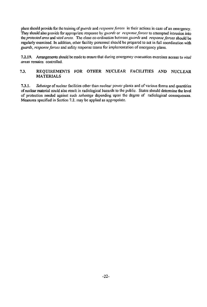plans should provide for the training *of guards* and *response forces* in their actions in case of an emergency. They should also provide for appropriate response by *guards* or *response forces* to attempted intrusion into *tins protected area* and *vital areas.* The close co-ordination between *guards* and *response forces* shoufd be regularly exercised. In addition, other facility personnel should be prepared to act in full coordination with *guards, response forces* and safety response teams for implementation of emergency plans.

7.2.19. Arrangements should be made to ensure that during emergency evacuation exercises access to *vital areas* remains controlled.

#### 7.3. REQUIREMENTS FOR OTHER NUCLEAR FACILITIES AND NUCLEAR MATERIALS

7.3.1. *Sabotage* of nuclear facilities other than nuclear power plants and of various forms and quantities of nuclear material could also result in radiological hazards to the public. States should determine the level of protection needed against such *sabotage* depending upon the degree of radiological consequences. Measures specified in Section 7.2. may be applied as appropriate.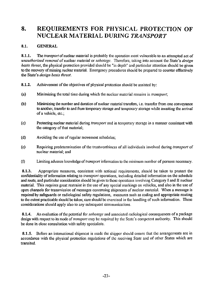### 8. REQUIREMENTS FOR PHYSICAL PROTECTION OF NUCLEAR MATERIAL DURING *TRANSPORT*

#### **8.1. GENERAL**

**8.1.1.** The *transport* of nuclear material is probably the operation most vulnerable to an attempted act of *unauthorized removal* of nuclear material or *sabotage.* Therefore, taking into account the State's *design basis threat,* the physical protection provided should be "in depth" and particular attention should be given to the recovery of missing nuclear material. Emergency procedures should be prepared to counter effectively the State's *design basis threat.*

- **8.1.2.** Achievement of the objectives of physical protection should be assisted by:
- (a) Minimizing the total time during which the nuclear material remains in *transport;*
- (b) Minimizing the number and duration of nuclear material transfers, i.e. transfer from one conveyance to another, transfer to and from temporary storage and temporary storage while awaiting the arrival of a vehicle, etc.;
- (c) Protecting nuclear material during *transport* and in temporary storage in a manner consistent with the category of that material;
- (d) Avoiding the use of regular movement schedules;
- (e) Requiring predetermination of the trustworthiness of all individuals involved during *transport* of nuclear material; and
- (f) Limiting advance knowledge of *transport* information to the minimum number of persons necessary.

**8.1.3.** Appropriate measures, consistent with national requirements, should be taken to protect the confidentiality of information relating to *transport* operations, including detailed information on the schedule and route, and particular consideration should be given to those operations involving Category I and II nuclear material. This requires great restraint in the use of any special markings on vehicles, and also in the use of open channels for transmission of messages concerning shipments of nuclear material. When a message is required by safeguards or radiological safety regulations, measures such as coding and appropriate routing to the extent practicable should be taken; care should be exercised in the handling of such information. These considerations should apply also to any subsequent communications.

**8.1.4.** An evaluation of the potential for *sabotage* and associated radiological consequences of a package design with respect to its mode of *transport* may be required by the State's competent authority. This should be done in close consultation with safety specialists.

**8.1.5.** Before an international shipment is made the shipper should ensure that the arrangements are in accordance with the physical protection regulations of the receiving State and of other States which are transited.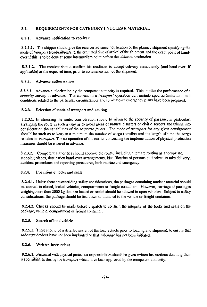#### 8.2. REQUIREMENTS FOR CATEGORY I NUCLEAR MATERIAL

#### 8.2.1. Advance notification to receiver

8.2.1.1. The shipper should give the receiver advance notification of the planned shipment specifying the mode of*transport* (road/rail/sea/air), the estimated time of arrival of the shipment and the exact point of handover if this is to be done at some intermediate point before the ultimate destination.

8.2.1.2. The receiver should confirm his readiness to accept delivery immediately (and hand-over, if applicable) at the expected time, prior to commencement of the shipment.

#### 8.2.2. Advance authorization

8.2.2.1. Advance authorization by the competent authority is required. This implies the performance of a *security survey* in advance. The consent to a *transport* operation can include specific limitations and conditions related to the particular circumstances and to whatever emergency plans have been prepared.

#### 8.2.3. Selection of mode of *transport* and routing

8.2.3.1. In choosing the route, consideration should be given to the security of passage, in particular, arranging the route in such a way as to avoid areas of natural disasters or civil disorders and taking into consideration the capabilities of the *response forces.* The mode *of transport* for any given consignment should be such as to keep to a minimum the number of cargo transfers and the length of time the cargo remains in *transport.* The co-operation of the carrier concerning the implementation of physical protection measures should be ensured in advance.

8.2.3.2. Competent authorities should approve the route, including alternate routing as appropriate, stopping places, destination hand-over arrangements, identification of persons authorized to take delivery, accident procedures and reporting procedures, both routine and emergency.

#### 8.2.4. Provision of locks and seals

8.2.4.1. Unless there are overriding safety considerations, the packages containing nuclear material should be carried in closed, locked vehicles, compartments or freight containers. However, carriage of packages weighing more than 2000 kg that are locked or sealed should be allowed in open vehicles. Subject to safety considerations, the package should be tied down or attached to the vehicle or freight container.

8.2.4.2. Checks should be made before dispatch to confirm the integrity of the locks and seals on the package, vehicle, compartment or freight container.

#### 8.2.5. Search of load vehicle

8.2.5.1. There should be a detailed search of the load vehicle prior to loading and shipment, to ensure that *sabotage* devices have not been implanted or that *sabotage* has not been initiated.

#### 8.2.6. Written instructions

8.2.6.1. Personnel with physical protection responsibilities should be given written instructions detailing their responsibilities during the *transport* which have been approved by the competent authority.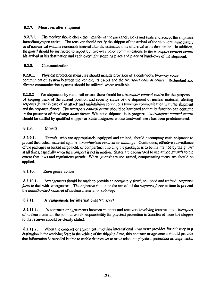#### 8.2.7. Measures after shipment

8.2.7.1. The receiver should check the integrity of the packages, locks and seals and accept the shipment immediately upon arrival. The receiver should notify the shipper of the arrival of the shipment immediately or of non-arrival within a reasonable interval after the estimated time of arrival at its destination. In addition, the *guard* should be instructed to report by two-way voice communications to the *transport control centre* his arrival at his destination and each overnight stopping place and place of hand-over of the shipment.

#### 8.2.8. Communication

8.2.8.1. Physical protection measures should include provision of a continuous two-way voice communication system between the vehicle, its escort and the *transport control centre.* Redundant and diverse communication systems should be utilized, where available.

8.2.8.2 For shipments by road, rail or sea, there should be a *transport control centre* for the purpose of keeping track of the current position and security status of the shipment of nuclear material, alerting *response forces* in case of an attack and maintaining continuous two-way communication with the shipment and the *response forces.* The *transport control centre* should be hardened so that its function can continue in the presence of the *design basis threat.* While the shipment is in progress, the *transport control centre* should be staffed by qualified shipper or State designees, whose trustworthiness has been predetermined.

#### 8.2.9. *Guards*

8.2.9.1. *Guards,* who are appropriately equipped and trained, should accompany each shipment to protect the nuclear material against *unauthorized removal* or *sabotage.* Continuous, effective surveillance of the packages or locked cargo hold, or compartment holding the packages is to be maintained by the *guard* at all times, especially when the *transport* is not in motion. States are encouraged to use armed *guards* to the extent that laws and regulations permit. When *guards* are not armed, compensating measures should be applied.

#### 8.2.10. Emergency action

8.2.10.1. Arrangements should be made to provide an adequately sized, equipped and trained *response force* to deal with emergencies. The objective should be the arrival of the *response force* in time to prevent the *unauthorized removal* of nuclear material or *sabotage.*

#### 8.2.11. Arrangements for international *transport*

8.2.11.1. In contracts or agreements between shippers and receivers involving international *transport* of nuclear material, the point at which responsibility for physical protection is transferred from the shipper to the receiver should be clearly stated.

8.2.11.2. When the contract or agreement involving international *transport* provides for delivery to a destination in the receiving State in the vehicle of the shipping State, this contract or agreement should provide that information be supplied in time to enable the receiver to make adequate physical protection arrangements.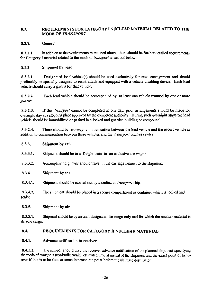#### 8.3. REQUIREMENTS FOR CATEGORY I NUCLEAR MATERIAL RELATED TO THE MODE OF *TRANSPORT*

#### 8.3.1. General

8.3.1.1. In addition to the requirements mentioned above, there should be further detailed requirements for Category I material related to the mode *of transport* as set out below.

#### 8.3.2. Shipment by road

8.3.2.1. Designated load vehicle(s) should be used exclusively for each consignment and should preferably be specially designed to resist attack and equipped with a vehicle disabling device. Each load vehicle should carry a *guard* for that vehicle.

8.3.2.2. Each load vehicle should be accompanied by at least one vehicle manned by one or more *guards.*

8.3.2.3. If the *transport* cannot be completed in one day, prior arrangements should be made for overnight stay at a stopping place approved by the competent authority. During such overnight stays the load vehicle should be immobilized or parked in a locked and guarded building or compound.

8.3.2.4. There should be two-way communication between the load vehicle and the escort vehicle in addition to communication between these vehicles and the *transport control centre.*

- 8.3.3. Shipment by rail
- 8.3.3.1. Shipment should be in a freight train in an exclusive use wagon.
- 8.3.3.2. Accompanying *guards* should travel in the carriage nearest to the shipment.
- 8.3.4. Shipment by sea
- 8.3.4.1. Shipment should be carried out by a dedicated *transport* ship.

8.3.4.2. The shipment should be placed in a secure compartment or container which is locked and sealed.

#### 8.3.5. Shipment by air

8.3.5.1. Shipment should be by aircraft designated for cargo only and for which the nuclear material is its sole cargo.

#### 8.4. REQUIREMENTS FOR CATEGORY II NUCLEAR MATERIAL

#### 8.4.1. Advance notification to receiver

8.4.1.1. The shipper should give the receiver advance notification of the planned shipment specifying the mode *of transport* (road/rail/sea/air), estimated time of arrival of the shipment and the exact point of handover if this is to be done at some intermediate point before the ultimate destination.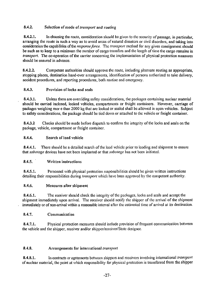#### 8.4.2. Selection of mode *of transport* and routing

8.4.2.1. In choosing the route, consideration should be given to the security of passage, in particular, arranging the route in such a way as to avoid areas of natural disasters or civil disorders, and taking into consideration the capabilities of the *response force.* The *transport* method for any given consignment should be such as to keep to a minimum the number of cargo transfers and the length of time the cargo remains in *transport.* The co-operation of the carrier concerning the implementation of physical protection measures should be ensured in advance.

8.4.2.2. Competent authorities should approve the route, including alternate routing as appropriate, stopping places, destination hand-over arrangements, identification of persons authorized to take delivery, accident procedures, and reporting procedures, both routine and emergency.

#### 8.4.3. Provision of locks and seals

8.4.3.1. Unless there are overriding safety considerations, the packages containing nuclear material should be carried inclosed, locked vehicles, compartments or freight containers. However, carriage of packages weighing mor e than 2000 kg that are locked or sealed shall be allowed in open vehicles. Subject to safety considerations, the package should be tied down or attached to the vehicle or freight container.

8.4.3.2 Checks should be made before dispatch to confirm the integrity of the locks and seals on the package, vehicle, compartment or freight container.

#### 8.4.4. Search ofload vehicle

8.4.4.1. There should be a detailed search of the load vehicle prior to loading and shipment to ensure that *sabotage* devices have not been implanted or that *sabotage* has not been initiated.

#### 8.4.5. Written instructions

8.4.5.1. Personnel with physical protection responsibilities should be given written instructions detailing their responsibilities during *transport* which have been approved by the competent authority.

#### 8.4.6. Measures after shipment

8.4.6.1. The receiver should check the integrity of the packages, locks and seals and accept the shipment immediately upon arrival. The receiver should notify the shipper of the arrival of the shipment immediately or of non-arrival within a reasonable interval after the estimated time of arrival at its destination.

#### 8.4.7. Communication

8.4.7.1. Physical protection measures should include provision of frequent communication between the vehicle and the shipper, receiver and/or shippcr/rcccivcr/Statc designcc.

#### 8.4.8. Arrangements for international *transport*

8.4.8.1. In contracts or agreements between shippers and receivers involving international *transport* of nuclear material, the point at which responsibility for physical protection is transferred from the shipper